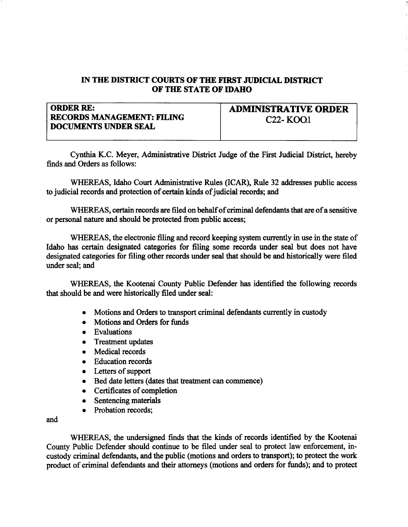## IN THE DISTRICT COURTS OF THE FIRST JUDICIAL DISTRICT OF TIIE STATE OF IDAHO

| <b>ORDER RE:</b>                                                 | <b>ADMINISTRATIVE ORDER</b>        |
|------------------------------------------------------------------|------------------------------------|
| <b>RECORDS MANAGEMENT: FILING</b><br><b>DOCUMENTS UNDER SEAL</b> | C <sub>22</sub> - KOO <sub>1</sub> |

Cynthia K.C. Meyer, Administrative District Judge of the First Judicial District, hereby finds and Orders as follows:

WHEREAS, Idaho Court Administative Rules (ICAR), Rule 32 addresses public access to judicial records and protection of certain kinds of judicial records; and

WHEREAS, certain records are filed on behalf of criminal defendants that are of a sensitive or personal nature and should be protected from public access;

WHEREAS, the electronic filing and record keeping system currently in use in the state of Idaho has certain designated categories for filing some records under seal but does not have designated categories for filing other records under seal that should be and historically were filed under seal; and

WHEREAS, the Kootenai County Public Defender has identified the following records that should be and were historically filed under seal:

- Motions and Orders to transport criminal defendants currently in custody
- Motions and Orders for funds
- o Evaluations
- o Treatment updates
- o Medical records
- Education records
- $\bullet$  Letters of support
- o Bed date letters (dates that teatnent can commence)
- o Certificates of completion
- o Sentencing materials
- Probation records:

and

WHEREAS, the undersigned finds that the kinds of records identified by the Kootenai County Public Defender should continue to be filed under seal to protect law enforcement, incustody criminal defendants, and the public (motions and orders to tansport); to protect the work product of criminal defendants and their attorneys (motions and orders for fimds); and to protect